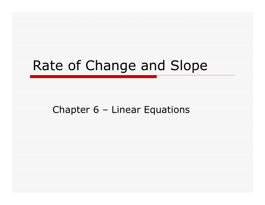### Rate of Change and Slope

Chapter 6 – Linear Equations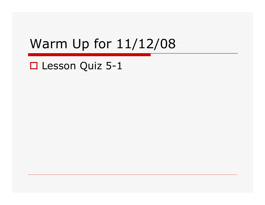### Warm Up for 11/12/08

## Lesson Quiz 5-1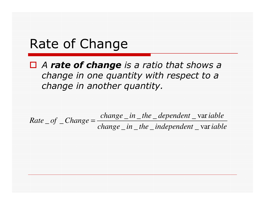#### Rate of Change

#### $\Box$  A **rate of change** is a ratio that shows a change in one quantity with respect to a change in another quantity.

 $Rate \_\ of \_\ Change = \frac{change \_\ in \_\ the \_\ dependent \_\vartheta} {change \_\ in \_\ the \_\infty}$  wariable =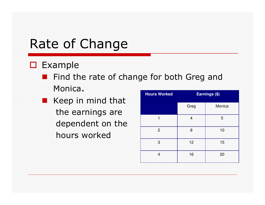### Rate of Change

## □ Example

**E** Find the rate of change for both Greg and

- Monica.
- Keep in mind that the earnings are dependent on thehours worked

| <b>Hours Worked</b> | Earnings (\$) |        |  |
|---------------------|---------------|--------|--|
|                     | Greg          | Monica |  |
| ⊣                   | 4             | 5      |  |
| $\overline{2}$      | 8             | 10     |  |
| 3                   | 12            | 15     |  |
| 4                   | 16            | 20     |  |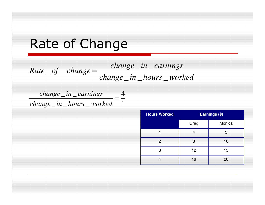#### Rate of Change

*change in hours worked change in earnings Rate of change* \_\_\_ $U = C \cdot \text{const}$ =

1 4\_\_=*change in earnings*\_\_\_*change in hours worked*

| <b>Hours Worked</b> | Earnings (\$) |        |
|---------------------|---------------|--------|
|                     | Greg          | Monica |
|                     | 4             | 5      |
| 2                   | 8             | 10     |
| 3                   | 12            | 15     |
|                     | 16            | 20     |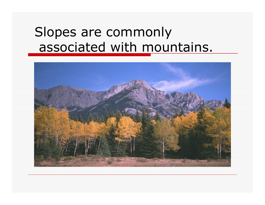#### Slopes are commonlyassociated with mountains.

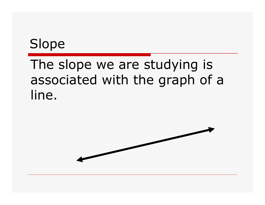### Slope

### The slope we are studying is associated with the graph of a line.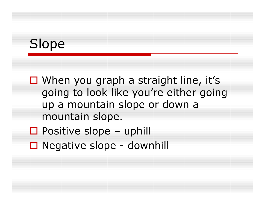### Slope

 $\square$  When you graph a straight line, it's  $\square$ going to look like you're either going up a mountain slope or down a mountain slope.

- □ Positive slope uphill<br>□ Negative slepe slow
- Negative slope downhill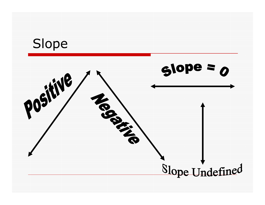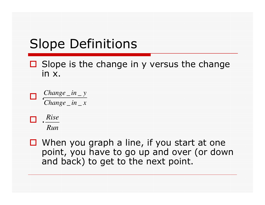### Slope Definitions

#### $\Box$  Slope is the change in y versus the change in x in x.

 $\Box$  . *Change inxChange iny* \_\_\_\_



 $\Box$ 

 $\Box$  When you graph a line, if you start at one<br>moint you have to go un and over (or dow point, you have to go up and over (or down and back) to get to the next point.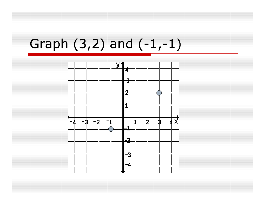### Graph (3,2) and (-1,-1)

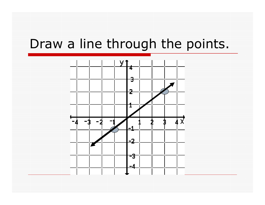#### Draw a line through the points.

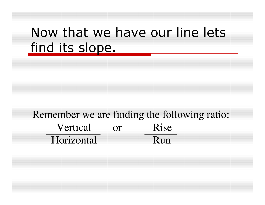#### Now that we have our line lets find its slope.

#### Remember we are finding the following ratio:Vertical or RiseHorizontal Run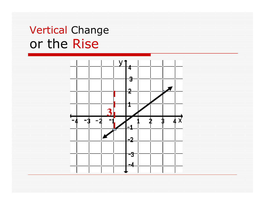#### Vertical Changeor the Rise

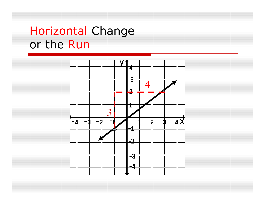#### Horizontal Changeor the Run

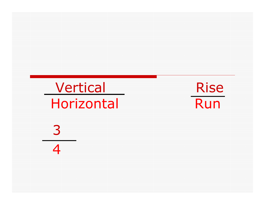Vertical Exercise Horizontal

Run

34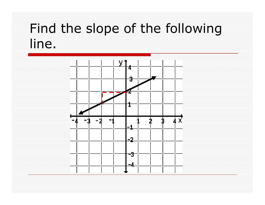### Find the slope of the following line.

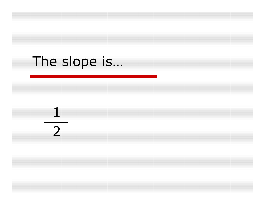## The slope is…

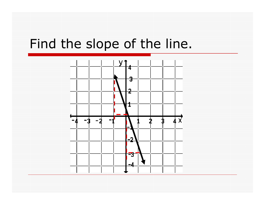### Find the slope of the line.

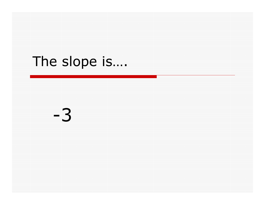## The slope is….

-3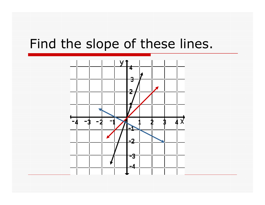#### Find the slope of these lines.

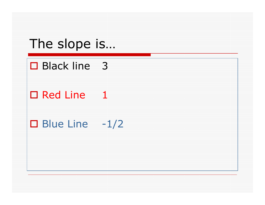#### The slope is…

# □ Black line 3

## □ Red Line 1

# $\Box$  Blue Line  $-1/2$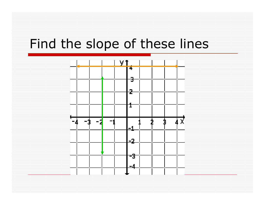#### Find the slope of these lines

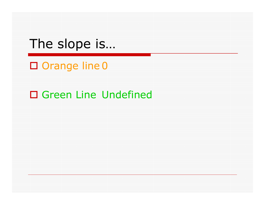#### The slope is…

- □ Orange line 0
- □ Green Line Undefined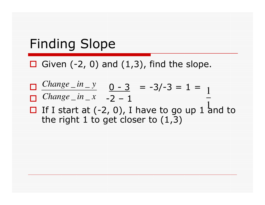### Finding Slope

 $\Box$  Given (-2, 0) and (1,3), find the slope.

$$
\Box \frac{Change_in_y}{Change_in_x} \quad 0 - 3 = -3/-3 = 1 = \Box
$$

 $\Box$  If I start at  $(-2, 0)$ , I have to go up 1 and to the right 1 to get closer to  $(1, 3)$ the right 1 to get closer to  $(1,3)$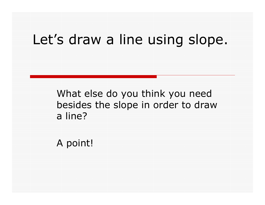#### Let's draw a line using slope.

What else do you think you need besides the slope in order to draw a line?

A point!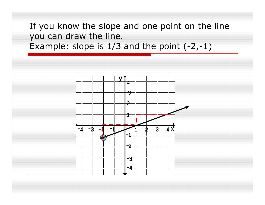If you know the slope and one point on the line you can draw the line.Example: slope is 1/3 and the point (-2,-1)

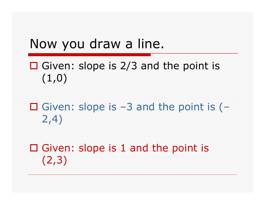#### Now you draw a line.

- Given: slope is  $2/3$  and the point is  $(1, 0)$  $(1,0)$
- Given: slope is  $-3$  and the point is  $(-\frac{1}{2}A)$ 2,4)
- $\square$  Given: slope is 1 and the point is  $(2, 3)$ (2,3)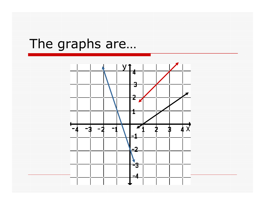### The graphs are…